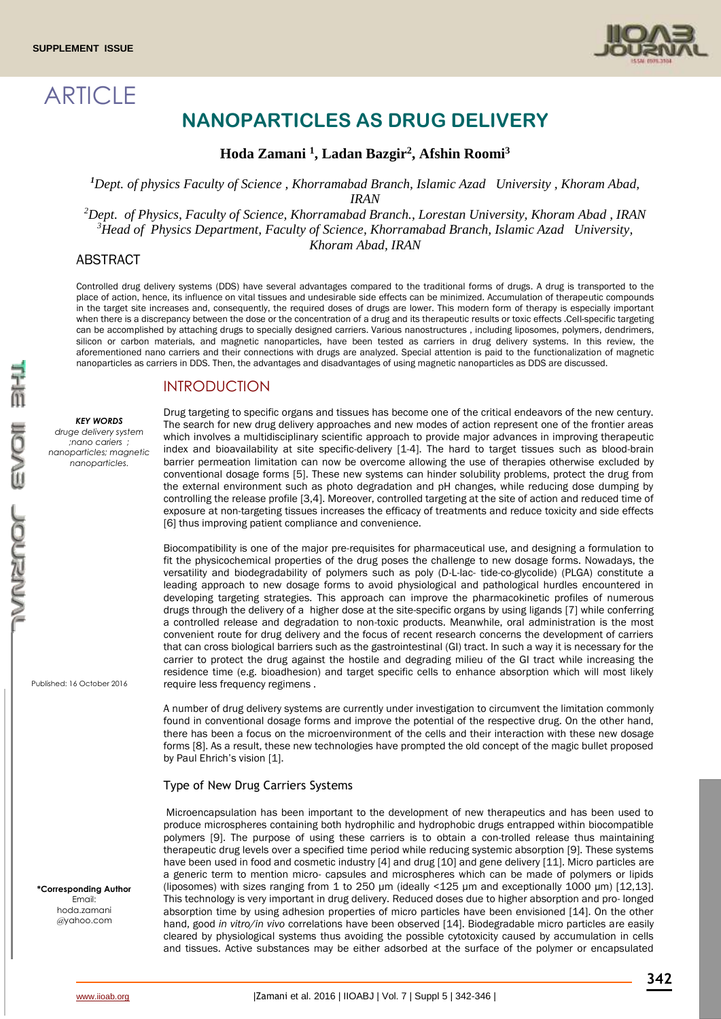**ARTICLE** 



# **NANOPARTICLES AS DRUG DELIVERY**

# **Hoda Zamani <sup>1</sup> , Ladan Bazgir<sup>2</sup> , Afshin Roomi<sup>3</sup>**

*<sup>1</sup>Dept. of physics Faculty of Science , Khorramabad Branch, Islamic Azad University , Khoram Abad, IRAN*

*<sup>2</sup>Dept. of Physics, Faculty of Science, Khorramabad Branch., Lorestan University, Khoram Abad , IRAN <sup>3</sup>Head of Physics Department, Faculty of Science, Khorramabad Branch, Islamic Azad University, Khoram Abad, IRAN*

## ABSTRACT

Controlled drug delivery systems (DDS) have several advantages compared to the traditional forms of drugs. A drug is transported to the place of action, hence, its influence on vital tissues and undesirable side effects can be minimized. Accumulation of therapeutic compounds in the target site increases and, consequently, the required doses of drugs are lower. This modern form of therapy is especially important when there is a discrepancy between the dose or the concentration of a drug and its therapeutic results or toxic effects .Cell-specific targeting can be accomplished by attaching drugs to specially designed carriers. Various nanostructures , including liposomes, polymers, dendrimers, silicon or carbon materials, and magnetic nanoparticles, have been tested as carriers in drug delivery systems. In this review, the aforementioned nano carriers and their connections with drugs are analyzed. Special attention is paid to the functionalization of magnetic nanoparticles as carriers in DDS. Then, the advantages and disadvantages of using magnetic nanoparticles as DDS are discussed.

## **INTRODUCTION**

*KEY WORDS druge delivery system ;nano cariers ; nanoparticles; magnetic nanoparticles.*

Drug targeting to specific organs and tissues has become one of the critical endeavors of the new century. The search for new drug delivery approaches and new modes of action represent one of the frontier areas which involves a multidisciplinary scientific approach to provide major advances in improving therapeutic index and bioavailability at site specific-delivery [1-4]. The hard to target tissues such as blood-brain barrier permeation limitation can now be overcome allowing the use of therapies otherwise excluded by conventional dosage forms [5]. These new systems can hinder solubility problems, protect the drug from the external environment such as photo degradation and pH changes, while reducing dose dumping by controlling the release profile [3,4]. Moreover, controlled targeting at the site of action and reduced time of exposure at non-targeting tissues increases the efficacy of treatments and reduce toxicity and side effects [6] thus improving patient compliance and convenience.

Biocompatibility is one of the major pre-requisites for pharmaceutical use, and designing a formulation to fit the physicochemical properties of the drug poses the challenge to new dosage forms. Nowadays, the versatility and biodegradability of polymers such as poly (D-L-lac- tide-co-glycolide) (PLGA) constitute a leading approach to new dosage forms to avoid physiological and pathological hurdles encountered in developing targeting strategies. This approach can improve the pharmacokinetic profiles of numerous drugs through the delivery of a higher dose at the site-specific organs by using ligands [7] while conferring a controlled release and degradation to non-toxic products. Meanwhile, oral administration is the most convenient route for drug delivery and the focus of recent research concerns the development of carriers that can cross biological barriers such as the gastrointestinal (GI) tract. In such a way it is necessary for the carrier to protect the drug against the hostile and degrading milieu of the GI tract while increasing the residence time (e.g. bioadhesion) and target specific cells to enhance absorption which will most likely require less frequency regimens .

A number of drug delivery systems are currently under investigation to circumvent the limitation commonly found in conventional dosage forms and improve the potential of the respective drug. On the other hand, there has been a focus on the microenvironment of the cells and their interaction with these new dosage forms [8]. As a result, these new technologies have prompted the old concept of the magic bullet proposed by Paul Ehrich's vision [1].

#### Type of New Drug Carriers Systems

 Microencapsulation has been important to the development of new therapeutics and has been used to produce microspheres containing both hydrophilic and hydrophobic drugs entrapped within biocompatible polymers [9]. The purpose of using these carriers is to obtain a con-trolled release thus maintaining therapeutic drug levels over a specified time period while reducing systemic absorption [9]. These systems have been used in food and cosmetic industry [4] and drug [10] and gene delivery [11]. Micro particles are a generic term to mention micro- capsules and microspheres which can be made of polymers or lipids (liposomes) with sizes ranging from 1 to 250 μm (ideally <125 μm and exceptionally 1000 μm) [12,13]. This technology is very important in drug delivery. Reduced doses due to higher absorption and pro- longed absorption time by using adhesion properties of micro particles have been envisioned [14]. On the other hand, good *in vitro/in vivo* correlations have been observed [14]. Biodegradable micro particles are easily cleared by physiological systems thus avoiding the possible cytotoxicity caused by accumulation in cells and tissues. Active substances may be either adsorbed at the surface of the polymer or encapsulated

**IIONE** 

Published: 16 October 2016

#### **\*Corresponding Author** Email:

hoda.zamani @yahoo.com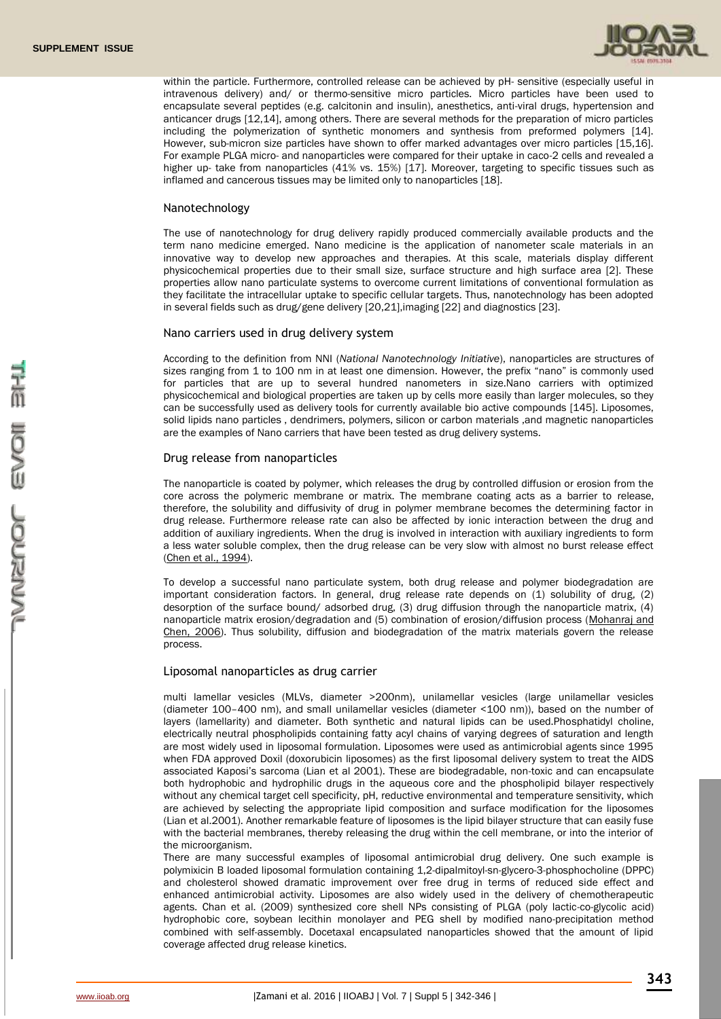

within the particle. Furthermore, controlled release can be achieved by pH- sensitive (especially useful in intravenous delivery) and/ or thermo-sensitive micro particles. Micro particles have been used to encapsulate several peptides (e.g. calcitonin and insulin), anesthetics, anti-viral drugs, hypertension and anticancer drugs [12,14], among others. There are several methods for the preparation of micro particles including the polymerization of synthetic monomers and synthesis from preformed polymers [14]. However, sub-micron size particles have shown to offer marked advantages over micro particles [15,16]. For example PLGA micro- and nanoparticles were compared for their uptake in caco-2 cells and revealed a higher up- take from nanoparticles (41% vs. 15%) [17]. Moreover, targeting to specific tissues such as inflamed and cancerous tissues may be limited only to nanoparticles [18].

#### Nanotechnology

The use of nanotechnology for drug delivery rapidly produced commercially available products and the term nano medicine emerged. Nano medicine is the application of nanometer scale materials in an innovative way to develop new approaches and therapies. At this scale, materials display different physicochemical properties due to their small size, surface structure and high surface area [2]. These properties allow nano particulate systems to overcome current limitations of conventional formulation as they facilitate the intracellular uptake to specific cellular targets. Thus, nanotechnology has been adopted in several fields such as drug/gene delivery [20,21],imaging [22] and diagnostics [23].

#### Nano carriers used in drug delivery system

According to the definition from NNI (*National Nanotechnology Initiative*), nanoparticles are structures of sizes ranging from 1 to 100 nm in at least one dimension. However, the prefix "nano" is commonly used for particles that are up to several hundred nanometers in size.Nano carriers with optimized physicochemical and biological properties are taken up by cells more easily than larger molecules, so they can be successfully used as delivery tools for currently available bio active compounds [145]. Liposomes, solid lipids nano particles , dendrimers, polymers, silicon or carbon materials ,and magnetic nanoparticles are the examples of Nano carriers that have been tested as drug delivery systems.

#### Drug release from nanoparticles

The nanoparticle is coated by polymer, which releases the drug by controlled diffusion or erosion from the core across the polymeric membrane or matrix. The membrane coating acts as a barrier to release, therefore, the solubility and diffusivity of drug in polymer membrane becomes the determining factor in drug release. Furthermore release rate can also be affected by ionic interaction between the drug and addition of auxiliary ingredients. When the drug is involved in interaction with auxiliary ingredients to form a less water soluble complex, then the drug release can be very slow with almost no burst release effect [\(Chen et al., 1994\)](file:///I:/aaaaaaaaaaaaa/Nanoparticles%20%20Emerging%20carriers%20for%20drug%20delivery.htm%23b0095).

To develop a successful nano particulate system, both drug release and polymer biodegradation are important consideration factors. In general, drug release rate depends on (1) solubility of drug, (2) desorption of the surface bound/ adsorbed drug, (3) drug diffusion through the nanoparticle matrix, (4) nanoparticle matrix erosion/degradation and (5) combination of erosion/diffusion process (Mohanraj and [Chen, 2006\)](file:///I:/aaaaaaaaaaaaa/Nanoparticles%20%20Emerging%20carriers%20for%20drug%20delivery.htm%23b0515). Thus solubility, diffusion and biodegradation of the matrix materials govern the release process.

#### Liposomal nanoparticles as drug carrier

multi lamellar vesicles (MLVs, diameter >200nm), unilamellar vesicles (large unilamellar vesicles (diameter 100–400 nm), and small unilamellar vesicles (diameter <100 nm)), based on the number of layers (lamellarity) and diameter. Both synthetic and natural lipids can be used.Phosphatidyl choline, electrically neutral phospholipids containing fatty acyl chains of varying degrees of saturation and length are most widely used in liposomal formulation. Liposomes were used as antimicrobial agents since 1995 when FDA approved Doxil (doxorubicin liposomes) as the first liposomal delivery system to treat the AIDS associated Kaposi's sarcoma (Lian et al 2001). These are biodegradable, non-toxic and can encapsulate both hydrophobic and hydrophilic drugs in the aqueous core and the phospholipid bilayer respectively without any chemical target cell specificity, pH, reductive environmental and temperature sensitivity, which are achieved by selecting the appropriate lipid composition and surface modification for the liposomes (Lian et al.2001). Another remarkable feature of liposomes is the lipid bilayer structure that can easily fuse with the bacterial membranes, thereby releasing the drug within the cell membrane, or into the interior of the microorganism.

There are many successful examples of liposomal antimicrobial drug delivery. One such example is polymixicin B loaded liposomal formulation containing 1,2-dipalmitoyl-sn-glycero-3-phosphocholine (DPPC) and cholesterol showed dramatic improvement over free drug in terms of reduced side effect and enhanced antimicrobial activity. Liposomes are also widely used in the delivery of chemotherapeutic agents. Chan et al. (2009) synthesized core shell NPs consisting of PLGA (poly lactic-co-glycolic acid) hydrophobic core, soybean lecithin monolayer and PEG shell by modified nano-precipitation method combined with self-assembly. Docetaxal encapsulated nanoparticles showed that the amount of lipid coverage affected drug release kinetics.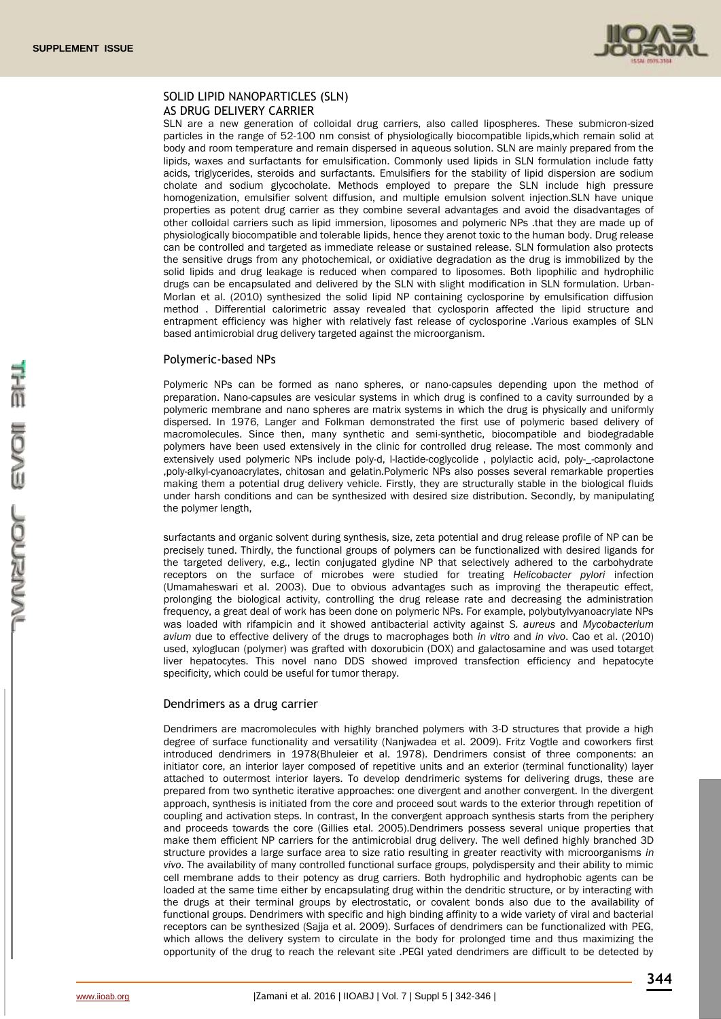

### SOLID LIPID NANOPARTICLES (SLN) AS DRUG DELIVERY CARRIER

SLN are a new generation of colloidal drug carriers, also called lipospheres. These submicron-sized particles in the range of 52-100 nm consist of physiologically biocompatible lipids,which remain solid at body and room temperature and remain dispersed in aqueous solution. SLN are mainly prepared from the lipids, waxes and surfactants for emulsification. Commonly used lipids in SLN formulation include fatty acids, triglycerides, steroids and surfactants. Emulsifiers for the stability of lipid dispersion are sodium cholate and sodium glycocholate. Methods employed to prepare the SLN include high pressure homogenization, emulsifier solvent diffusion, and multiple emulsion solvent injection.SLN have unique properties as potent drug carrier as they combine several advantages and avoid the disadvantages of other colloidal carriers such as lipid immersion, liposomes and polymeric NPs .that they are made up of physiologically biocompatible and tolerable lipids, hence they arenot toxic to the human body. Drug release can be controlled and targeted as immediate release or sustained release. SLN formulation also protects the sensitive drugs from any photochemical, or oxidiative degradation as the drug is immobilized by the solid lipids and drug leakage is reduced when compared to liposomes. Both lipophilic and hydrophilic drugs can be encapsulated and delivered by the SLN with slight modification in SLN formulation. Urban-Morlan et al. (2010) synthesized the solid lipid NP containing cyclosporine by emulsification diffusion method . Differential calorimetric assay revealed that cyclosporin affected the lipid structure and entrapment efficiency was higher with relatively fast release of cyclosporine .Various examples of SLN based antimicrobial drug delivery targeted against the microorganism.

#### Polymeric-based NPs

Polymeric NPs can be formed as nano spheres, or nano-capsules depending upon the method of preparation. Nano-capsules are vesicular systems in which drug is confined to a cavity surrounded by a polymeric membrane and nano spheres are matrix systems in which the drug is physically and uniformly dispersed. In 1976, Langer and Folkman demonstrated the first use of polymeric based delivery of macromolecules. Since then, many synthetic and semi-synthetic, biocompatible and biodegradable polymers have been used extensively in the clinic for controlled drug release. The most commonly and extensively used polymeric NPs include poly-d, l-lactide-coglycolide, polylactic acid, poly-\_-caprolactone ,poly-alkyl-cyanoacrylates, chitosan and gelatin.Polymeric NPs also posses several remarkable properties making them a potential drug delivery vehicle. Firstly, they are structurally stable in the biological fluids under harsh conditions and can be synthesized with desired size distribution. Secondly, by manipulating the polymer length,

surfactants and organic solvent during synthesis, size, zeta potential and drug release profile of NP can be precisely tuned. Thirdly, the functional groups of polymers can be functionalized with desired ligands for the targeted delivery, e.g., lectin conjugated glydine NP that selectively adhered to the carbohydrate receptors on the surface of microbes were studied for treating *Helicobacter pylori* infection (Umamaheswari et al. 2003). Due to obvious advantages such as improving the therapeutic effect, prolonging the biological activity, controlling the drug release rate and decreasing the administration frequency, a great deal of work has been done on polymeric NPs. For example, polybutylvyanoacrylate NPs was loaded with rifampicin and it showed antibacterial activity against *S. aureus* and *Mycobacterium avium* due to effective delivery of the drugs to macrophages both *in vitro* and *in vivo*. Cao et al. (2010) used, xyloglucan (polymer) was grafted with doxorubicin (DOX) and galactosamine and was used totarget liver hepatocytes. This novel nano DDS showed improved transfection efficiency and hepatocyte specificity, which could be useful for tumor therapy.

#### Dendrimers as a drug carrier

Dendrimers are macromolecules with highly branched polymers with 3-D structures that provide a high degree of surface functionality and versatility (Nanjwadea et al. 2009). Fritz Vogtle and coworkers first introduced dendrimers in 1978(Bhuleier et al. 1978). Dendrimers consist of three components: an initiator core, an interior layer composed of repetitive units and an exterior (terminal functionality) layer attached to outermost interior layers. To develop dendrimeric systems for delivering drugs, these are prepared from two synthetic iterative approaches: one divergent and another convergent. In the divergent approach, synthesis is initiated from the core and proceed sout wards to the exterior through repetition of coupling and activation steps. In contrast, In the convergent approach synthesis starts from the periphery and proceeds towards the core (Gillies etal. 2005).Dendrimers possess several unique properties that make them efficient NP carriers for the antimicrobial drug delivery. The well defined highly branched 3D structure provides a large surface area to size ratio resulting in greater reactivity with microorganisms *in vivo*. The availability of many controlled functional surface groups, polydispersity and their ability to mimic cell membrane adds to their potency as drug carriers. Both hydrophilic and hydrophobic agents can be loaded at the same time either by encapsulating drug within the dendritic structure, or by interacting with the drugs at their terminal groups by electrostatic, or covalent bonds also due to the availability of functional groups. Dendrimers with specific and high binding affinity to a wide variety of viral and bacterial receptors can be synthesized (Sajja et al. 2009). Surfaces of dendrimers can be functionalized with PEG, which allows the delivery system to circulate in the body for prolonged time and thus maximizing the opportunity of the drug to reach the relevant site .PEGl yated dendrimers are difficult to be detected by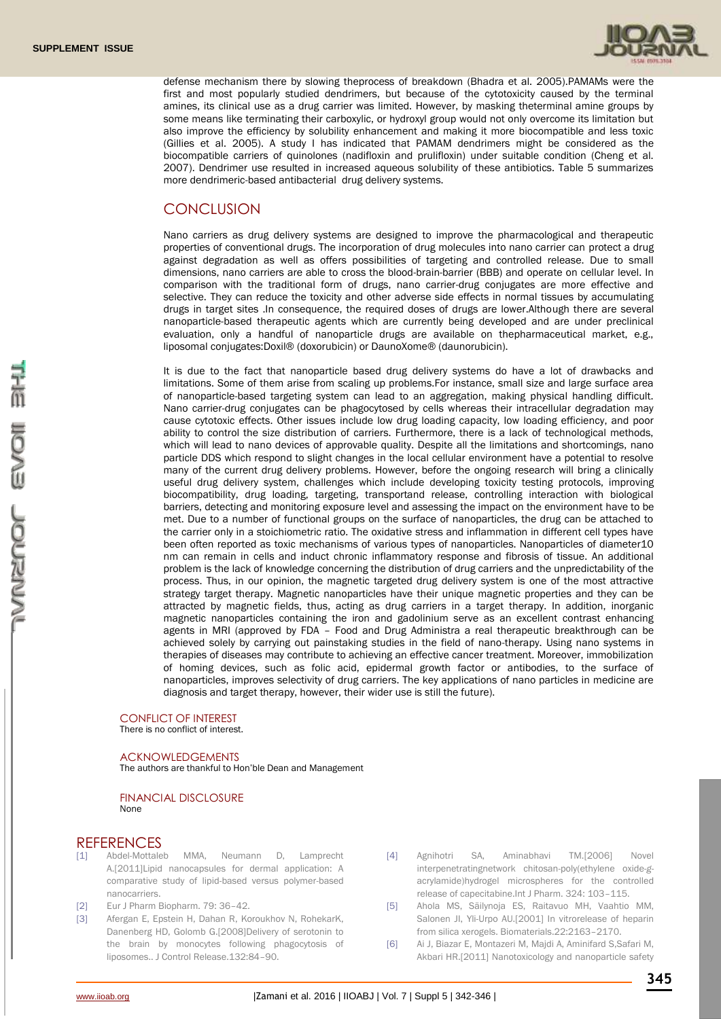

defense mechanism there by slowing theprocess of breakdown (Bhadra et al. 2005).PAMAMs were the first and most popularly studied dendrimers, but because of the cytotoxicity caused by the terminal amines, its clinical use as a drug carrier was limited. However, by masking theterminal amine groups by some means like terminating their carboxylic, or hydroxyl group would not only overcome its limitation but also improve the efficiency by solubility enhancement and making it more biocompatible and less toxic (Gillies et al. 2005). A study I has indicated that PAMAM dendrimers might be considered as the biocompatible carriers of quinolones (nadifloxin and prulifloxin) under suitable condition (Cheng et al. 2007). Dendrimer use resulted in increased aqueous solubility of these antibiotics. Table 5 summarizes more dendrimeric-based antibacterial drug delivery systems.

# **CONCLUSION**

Nano carriers as drug delivery systems are designed to improve the pharmacological and therapeutic properties of conventional drugs. The incorporation of drug molecules into nano carrier can protect a drug against degradation as well as offers possibilities of targeting and controlled release. Due to small dimensions, nano carriers are able to cross the blood-brain-barrier (BBB) and operate on cellular level. In comparison with the traditional form of drugs, nano carrier-drug conjugates are more effective and selective. They can reduce the toxicity and other adverse side effects in normal tissues by accumulating drugs in target sites .In consequence, the required doses of drugs are lower.Although there are several nanoparticle-based therapeutic agents which are currently being developed and are under preclinical evaluation, only a handful of nanoparticle drugs are available on thepharmaceutical market, e.g., liposomal conjugates:Doxil® (doxorubicin) or DaunoXome® (daunorubicin).

It is due to the fact that nanoparticle based drug delivery systems do have a lot of drawbacks and limitations. Some of them arise from scaling up problems.For instance, small size and large surface area of nanoparticle-based targeting system can lead to an aggregation, making physical handling difficult. Nano carrier-drug conjugates can be phagocytosed by cells whereas their intracellular degradation may cause cytotoxic effects. Other issues include low drug loading capacity, low loading efficiency, and poor ability to control the size distribution of carriers. Furthermore, there is a lack of technological methods, which will lead to nano devices of approvable quality. Despite all the limitations and shortcomings, nano particle DDS which respond to slight changes in the local cellular environment have a potential to resolve many of the current drug delivery problems. However, before the ongoing research will bring a clinically useful drug delivery system, challenges which include developing toxicity testing protocols, improving biocompatibility, drug loading, targeting, transportand release, controlling interaction with biological barriers, detecting and monitoring exposure level and assessing the impact on the environment have to be met. Due to a number of functional groups on the surface of nanoparticles, the drug can be attached to the carrier only in a stoichiometric ratio. The oxidative stress and inflammation in different cell types have been often reported as toxic mechanisms of various types of nanoparticles. Nanoparticles of diameter10 nm can remain in cells and induct chronic inflammatory response and fibrosis of tissue. An additional problem is the lack of knowledge concerning the distribution of drug carriers and the unpredictability of the process. Thus, in our opinion, the magnetic targeted drug delivery system is one of the most attractive strategy target therapy. Magnetic nanoparticles have their unique magnetic properties and they can be attracted by magnetic fields, thus, acting as drug carriers in a target therapy. In addition, inorganic magnetic nanoparticles containing the iron and gadolinium serve as an excellent contrast enhancing agents in MRI (approved by FDA – Food and Drug Administra a real therapeutic breakthrough can be achieved solely by carrying out painstaking studies in the field of nano-therapy. Using nano systems in therapies of diseases may contribute to achieving an effective cancer treatment. Moreover, immobilization of homing devices, such as folic acid, epidermal growth factor or antibodies, to the surface of nanoparticles, improves selectivity of drug carriers. The key applications of nano particles in medicine are diagnosis and target therapy, however, their wider use is still the future).

#### CONFLICT OF INTEREST

There is no conflict of interest.

#### ACKNOWLEDGEMENTS

The authors are thankful to Hon'ble Dean and Management

#### FINANCIAL DISCLOSURE None

# REFERENCES<br>[1] Abdel-Mottaleb

- [1] Abdel-Mottaleb MMA, Neumann D, Lamprecht A.[2011]Lipid nanocapsules for dermal application: A comparative study of lipid-based versus polymer-based nanocarriers.
- [2] Eur J Pharm Biopharm. 79: 36-42.
- [3] Afergan E, Epstein H, Dahan R, Koroukhov N, RohekarK, Danenberg HD, Golomb G.[2008]Delivery of serotonin to the brain by monocytes following phagocytosis of liposomes.. J Control Release.132:84–90.
- [4] Agnihotri SA, Aminabhavi TM.[2006] Novel interpenetratingnetwork chitosan-poly(ethylene oxide-*g*acrylamide)hydrogel microspheres for the controlled release of capecitabine.Int J Pharm. 324: 103–115.
- [5] Ahola MS, Säilynoja ES, Raitavuo MH, Vaahtio MM, Salonen JI, Yli-Urpo AU.[2001] In vitrorelease of heparin from silica xerogels. Biomaterials.22:2163–2170.
- [6] Ai J, Biazar E, Montazeri M, Majdi A, Aminifard S,Safari M, Akbari HR.[2011] Nanotoxicology and nanoparticle safety